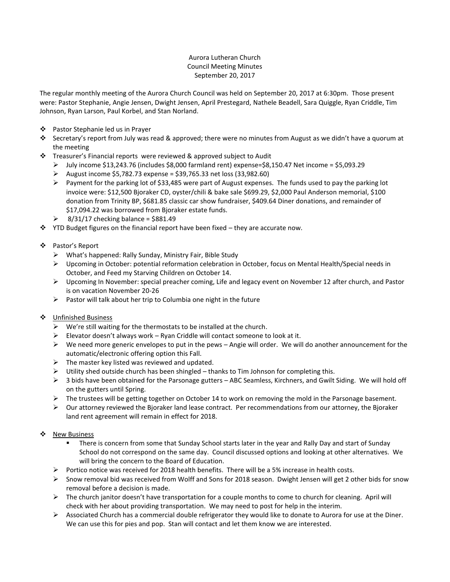## Aurora Lutheran Church Council Meeting Minutes September 20, 2017

The regular monthly meeting of the Aurora Church Council was held on September 20, 2017 at 6:30pm. Those present were: Pastor Stephanie, Angie Jensen, Dwight Jensen, April Prestegard, Nathele Beadell, Sara Quiggle, Ryan Criddle, Tim Johnson, Ryan Larson, Paul Korbel, and Stan Norland.

- ❖ Pastor Stephanie led us in Prayer
- Secretary's report from July was read & approved; there were no minutes from August as we didn't have a quorum at the meeting
- Treasurer's Financial reports were reviewed & approved subject to Audit
	- $\triangleright$  July income \$13,243.76 (includes \$8,000 farmland rent) expense=\$8,150.47 Net income = \$5,093.29
	- $\triangleright$  August income \$5,782.73 expense = \$39,765.33 net loss (33,982.60)
	- Payment for the parking lot of \$33,485 were part of August expenses. The funds used to pay the parking lot invoice were: \$12,500 Bjoraker CD, oyster/chili & bake sale \$699.29, \$2,000 Paul Anderson memorial, \$100 donation from Trinity BP, \$681.85 classic car show fundraiser, \$409.64 Diner donations, and remainder of \$17,094.22 was borrowed from Bjoraker estate funds.
	- $\geq$  8/31/17 checking balance = \$881.49
- $\div$  YTD Budget figures on the financial report have been fixed they are accurate now.
- Pastor's Report
	- What's happened: Rally Sunday, Ministry Fair, Bible Study
	- ▶ Upcoming in October: potential reformation celebration in October, focus on Mental Health/Special needs in October, and Feed my Starving Children on October 14.
	- Upcoming In November: special preacher coming, Life and legacy event on November 12 after church, and Pastor is on vacation November 20-26
	- $\triangleright$  Pastor will talk about her trip to Columbia one night in the future
- ❖ Unfinished Business
	- $\triangleright$  We're still waiting for the thermostats to be installed at the church.
	- $\triangleright$  Elevator doesn't always work Ryan Criddle will contact someone to look at it.
	- $\triangleright$  We need more generic envelopes to put in the pews Angie will order. We will do another announcement for the automatic/electronic offering option this Fall.
	- $\triangleright$  The master key listed was reviewed and updated.
	- $\triangleright$  Utility shed outside church has been shingled thanks to Tim Johnson for completing this.
	- $\triangleright$  3 bids have been obtained for the Parsonage gutters ABC Seamless, Kirchners, and Gwilt Siding. We will hold off on the gutters until Spring.
	- $\triangleright$  The trustees will be getting together on October 14 to work on removing the mold in the Parsonage basement.
	- $\triangleright$  Our attorney reviewed the Bjoraker land lease contract. Per recommendations from our attorney, the Bjoraker land rent agreement will remain in effect for 2018.
- ❖ New Business
	- There is concern from some that Sunday School starts later in the year and Rally Day and start of Sunday School do not correspond on the same day. Council discussed options and looking at other alternatives. We will bring the concern to the Board of Education.
	- $\triangleright$  Portico notice was received for 2018 health benefits. There will be a 5% increase in health costs.
	- $\triangleright$  Snow removal bid was received from Wolff and Sons for 2018 season. Dwight Jensen will get 2 other bids for snow removal before a decision is made.
	- $\triangleright$  The church janitor doesn't have transportation for a couple months to come to church for cleaning. April will check with her about providing transportation. We may need to post for help in the interim.
	- $\triangleright$  Associated Church has a commercial double refrigerator they would like to donate to Aurora for use at the Diner. We can use this for pies and pop. Stan will contact and let them know we are interested.